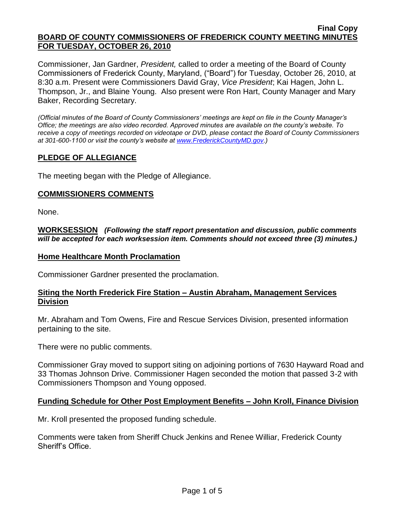Commissioner, Jan Gardner, *President,* called to order a meeting of the Board of County Commissioners of Frederick County, Maryland, ("Board") for Tuesday, October 26, 2010, at 8:30 a.m. Present were Commissioners David Gray, *Vice President*; Kai Hagen, John L. Thompson, Jr., and Blaine Young. Also present were Ron Hart, County Manager and Mary Baker, Recording Secretary.

*(Official minutes of the Board of County Commissioners' meetings are kept on file in the County Manager's Office; the meetings are also video recorded. Approved minutes are available on the county's website. To receive a copy of meetings recorded on videotape or DVD, please contact the Board of County Commissioners at 301-600-1100 or visit the county's website at [www.FrederickCountyMD.gov.](http://www.frederickcountymd.gov/))*

# **PLEDGE OF ALLEGIANCE**

The meeting began with the Pledge of Allegiance.

### **COMMISSIONERS COMMENTS**

None.

**WORKSESSION** *(Following the staff report presentation and discussion, public comments will be accepted for each worksession item. Comments should not exceed three (3) minutes.)*

#### **Home Healthcare Month Proclamation**

Commissioner Gardner presented the proclamation.

#### **Siting the North Frederick Fire Station – Austin Abraham, Management Services Division**

Mr. Abraham and Tom Owens, Fire and Rescue Services Division, presented information pertaining to the site.

There were no public comments.

Commissioner Gray moved to support siting on adjoining portions of 7630 Hayward Road and 33 Thomas Johnson Drive. Commissioner Hagen seconded the motion that passed 3-2 with Commissioners Thompson and Young opposed.

### **Funding Schedule for Other Post Employment Benefits – John Kroll, Finance Division**

Mr. Kroll presented the proposed funding schedule.

Comments were taken from Sheriff Chuck Jenkins and Renee Williar, Frederick County Sheriff's Office.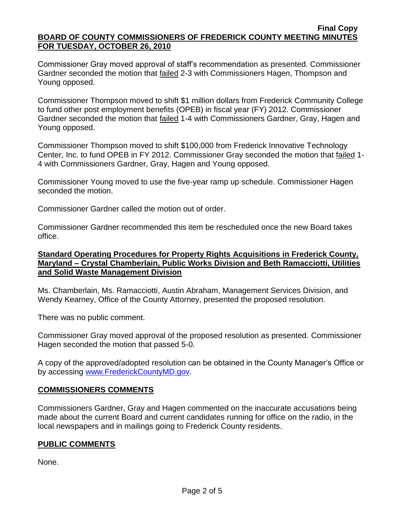Commissioner Gray moved approval of staff's recommendation as presented. Commissioner Gardner seconded the motion that failed 2-3 with Commissioners Hagen, Thompson and Young opposed.

Commissioner Thompson moved to shift \$1 million dollars from Frederick Community College to fund other post employment benefits (OPEB) in fiscal year (FY) 2012. Commissioner Gardner seconded the motion that failed 1-4 with Commissioners Gardner, Gray, Hagen and Young opposed.

Commissioner Thompson moved to shift \$100,000 from Frederick Innovative Technology Center, Inc. to fund OPEB in FY 2012. Commissioner Gray seconded the motion that failed 1- 4 with Commissioners Gardner, Gray, Hagen and Young opposed.

Commissioner Young moved to use the five-year ramp up schedule. Commissioner Hagen seconded the motion.

Commissioner Gardner called the motion out of order.

Commissioner Gardner recommended this item be rescheduled once the new Board takes office.

# **Standard Operating Procedures for Property Rights Acquisitions in Frederick County, Maryland – Crystal Chamberlain, Public Works Division and Beth Ramacciotti, Utilities and Solid Waste Management Division**

Ms. Chamberlain, Ms. Ramacciotti, Austin Abraham, Management Services Division, and Wendy Kearney, Office of the County Attorney, presented the proposed resolution.

There was no public comment.

Commissioner Gray moved approval of the proposed resolution as presented. Commissioner Hagen seconded the motion that passed 5-0.

A copy of the approved/adopted resolution can be obtained in the County Manager's Office or by accessing [www.FrederickCountyMD.gov.](file://NT1S5/BOCC/BOCC/BOCC%20Minutes/Mary)

# **COMMISSIONERS COMMENTS**

Commissioners Gardner, Gray and Hagen commented on the inaccurate accusations being made about the current Board and current candidates running for office on the radio, in the local newspapers and in mailings going to Frederick County residents.

### **PUBLIC COMMENTS**

None.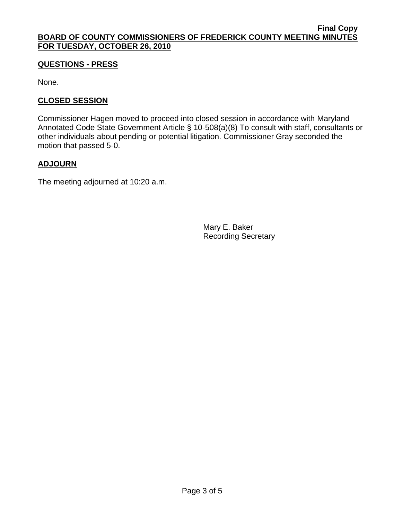# **QUESTIONS - PRESS**

None.

# **CLOSED SESSION**

Commissioner Hagen moved to proceed into closed session in accordance with Maryland Annotated Code State Government Article § 10-508(a)(8) To consult with staff, consultants or other individuals about pending or potential litigation. Commissioner Gray seconded the motion that passed 5-0.

# **ADJOURN**

The meeting adjourned at 10:20 a.m.

Mary E. Baker Recording Secretary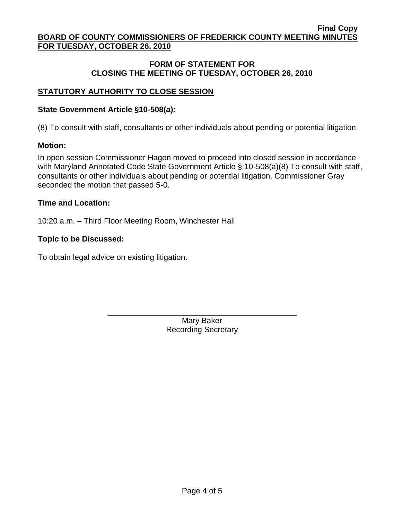## **FORM OF STATEMENT FOR CLOSING THE MEETING OF TUESDAY, OCTOBER 26, 2010**

# **STATUTORY AUTHORITY TO CLOSE SESSION**

#### **State Government Article §10-508(a):**

(8) To consult with staff, consultants or other individuals about pending or potential litigation.

#### **Motion:**

In open session Commissioner Hagen moved to proceed into closed session in accordance with Maryland Annotated Code State Government Article § 10-508(a)(8) To consult with staff, consultants or other individuals about pending or potential litigation. Commissioner Gray seconded the motion that passed 5-0.

#### **Time and Location:**

10:20 a.m. – Third Floor Meeting Room, Winchester Hall

#### **Topic to be Discussed:**

To obtain legal advice on existing litigation.

Mary Baker Recording Secretary